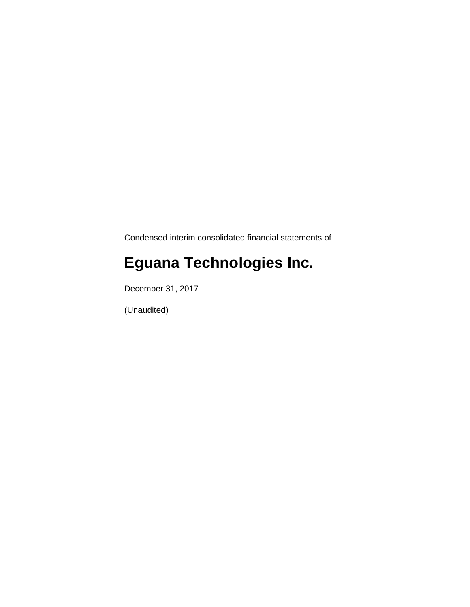Condensed interim consolidated financial statements of

# **Eguana Technologies Inc.**

December 31, 2017

(Unaudited)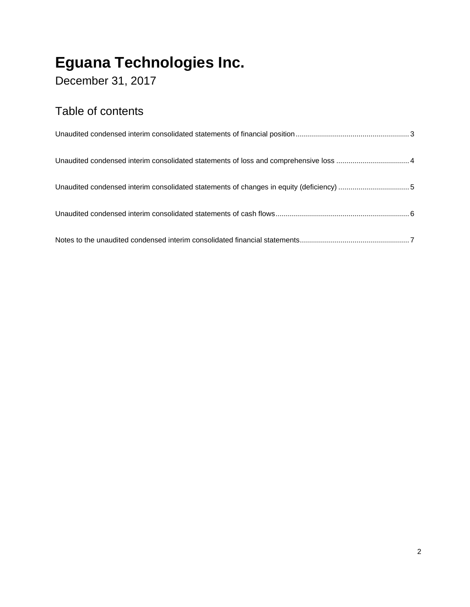December 31, 2017

### Table of contents

| Unaudited condensed interim consolidated statements of changes in equity (deficiency) 5 |  |
|-----------------------------------------------------------------------------------------|--|
|                                                                                         |  |
|                                                                                         |  |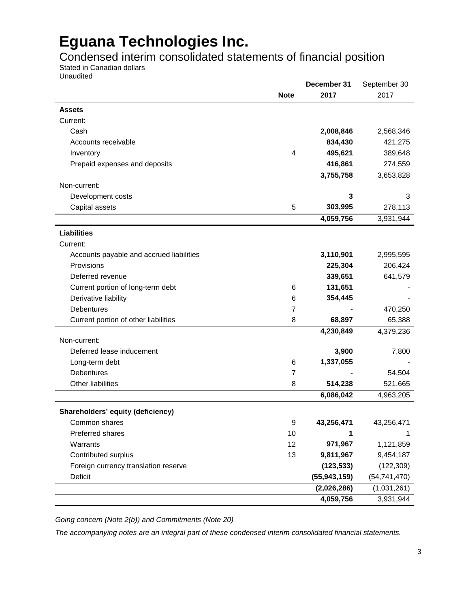Condensed interim consolidated statements of financial position

Stated in Canadian dollars

Unaudited

|                                          |                | December 31    | September 30   |
|------------------------------------------|----------------|----------------|----------------|
|                                          | <b>Note</b>    | 2017           | 2017           |
| <b>Assets</b>                            |                |                |                |
| Current:                                 |                |                |                |
| Cash                                     |                | 2,008,846      | 2,568,346      |
| Accounts receivable                      |                | 834,430        | 421,275        |
| Inventory                                | 4              | 495,621        | 389,648        |
| Prepaid expenses and deposits            |                | 416,861        | 274,559        |
|                                          |                | 3,755,758      | 3,653,828      |
| Non-current:                             |                |                |                |
| Development costs                        |                | 3              | 3              |
| Capital assets                           | 5              | 303,995        | 278,113        |
|                                          |                | 4,059,756      | 3,931,944      |
| <b>Liabilities</b>                       |                |                |                |
| Current:                                 |                |                |                |
| Accounts payable and accrued liabilities |                | 3,110,901      | 2,995,595      |
| Provisions                               |                | 225,304        | 206,424        |
| Deferred revenue                         |                | 339,651        | 641,579        |
| Current portion of long-term debt        | 6              | 131,651        |                |
| Derivative liability                     | 6              | 354,445        |                |
| <b>Debentures</b>                        | $\overline{7}$ |                | 470,250        |
| Current portion of other liabilities     | 8              | 68,897         | 65,388         |
|                                          |                | 4,230,849      | 4,379,236      |
| Non-current:                             |                |                |                |
| Deferred lease inducement                |                | 3,900          | 7,800          |
| Long-term debt                           | 6              | 1,337,055      |                |
| Debentures                               | 7              |                | 54,504         |
| <b>Other liabilities</b>                 | 8              | 514,238        | 521,665        |
|                                          |                | 6,086,042      | 4,963,205      |
| Shareholders' equity (deficiency)        |                |                |                |
| Common shares                            | 9              | 43,256,471     | 43,256,471     |
| Preferred shares                         | 10             | 1              | 1              |
| Warrants                                 | 12             | 971,967        | 1,121,859      |
| Contributed surplus                      | 13             | 9,811,967      | 9,454,187      |
| Foreign currency translation reserve     |                | (123, 533)     | (122, 309)     |
| Deficit                                  |                | (55, 943, 159) | (54, 741, 470) |
|                                          |                | (2,026,286)    | (1,031,261)    |
|                                          |                | 4,059,756      | 3,931,944      |

*Going concern (Note 2(b)) and Commitments (Note 20)* 

*The accompanying notes are an integral part of these condensed interim consolidated financial statements.*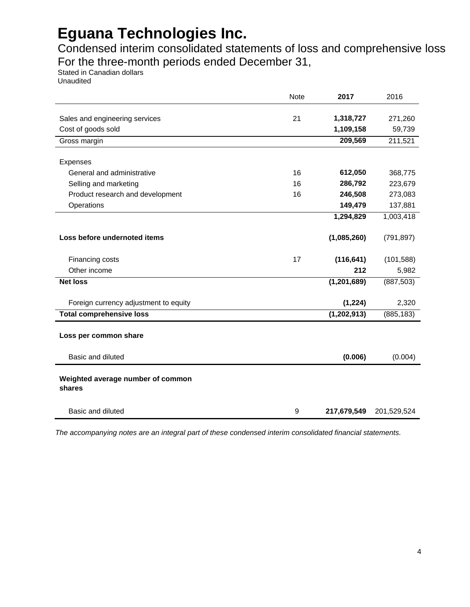Condensed interim consolidated statements of loss and comprehensive loss For the three-month periods ended December 31,

Stated in Canadian dollars Unaudited

|                                                      | Note | 2017          | 2016        |
|------------------------------------------------------|------|---------------|-------------|
|                                                      | 21   | 1,318,727     | 271,260     |
| Sales and engineering services<br>Cost of goods sold |      | 1,109,158     | 59,739      |
| Gross margin                                         |      | 209,569       | 211,521     |
|                                                      |      |               |             |
| Expenses                                             |      |               |             |
| General and administrative                           | 16   | 612,050       | 368,775     |
| Selling and marketing                                | 16   | 286,792       | 223,679     |
| Product research and development                     | 16   | 246,508       | 273,083     |
| Operations                                           |      | 149,479       | 137,881     |
|                                                      |      | 1,294,829     | 1,003,418   |
|                                                      |      |               |             |
| Loss before undernoted items                         |      | (1,085,260)   | (791, 897)  |
|                                                      |      |               |             |
| Financing costs                                      | 17   | (116, 641)    | (101, 588)  |
| Other income                                         |      | 212           | 5,982       |
| <b>Net loss</b>                                      |      | (1, 201, 689) | (887, 503)  |
|                                                      |      |               |             |
| Foreign currency adjustment to equity                |      | (1, 224)      | 2,320       |
| <b>Total comprehensive loss</b>                      |      | (1, 202, 913) | (885, 183)  |
|                                                      |      |               |             |
| Loss per common share                                |      |               |             |
| Basic and diluted                                    |      | (0.006)       | (0.004)     |
|                                                      |      |               |             |
| Weighted average number of common                    |      |               |             |
| shares                                               |      |               |             |
| Basic and diluted                                    | 9    | 217,679,549   | 201,529,524 |
|                                                      |      |               |             |

*The accompanying notes are an integral part of these condensed interim consolidated financial statements.*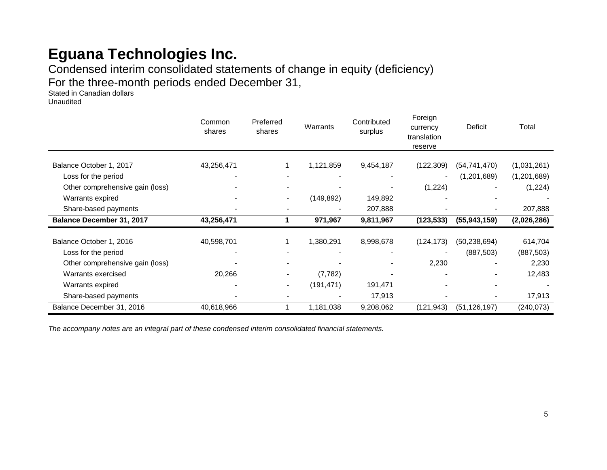Condensed interim consolidated statements of change in equity (deficiency) For the three-month periods ended December 31,

Stated in Canadian dollars Unaudited

|                                  | Common<br>shares | Preferred<br>shares | Warrants   | Contributed<br>surplus | Foreign<br>currency<br>translation<br>reserve | Deficit        | Total       |
|----------------------------------|------------------|---------------------|------------|------------------------|-----------------------------------------------|----------------|-------------|
| Balance October 1, 2017          | 43,256,471       |                     | 1,121,859  | 9,454,187              | (122, 309)                                    | (54, 741, 470) | (1,031,261) |
| Loss for the period              |                  |                     |            |                        |                                               | (1,201,689)    | (1,201,689) |
| Other comprehensive gain (loss)  |                  |                     |            |                        | (1,224)                                       |                | (1,224)     |
| Warrants expired                 |                  | $\blacksquare$      | (149, 892) | 149,892                |                                               |                |             |
| Share-based payments             |                  |                     |            | 207,888                |                                               |                | 207,888     |
| <b>Balance December 31, 2017</b> | 43,256,471       |                     | 971,967    | 9,811,967              | (123, 533)                                    | (55, 943, 159) | (2,026,286) |
| Balance October 1, 2016          | 40,598,701       |                     | 1,380,291  | 8,998,678              | (124, 173)                                    | (50, 238, 694) | 614,704     |
| Loss for the period              |                  |                     |            |                        |                                               | (887, 503)     | (887, 503)  |
| Other comprehensive gain (loss)  |                  |                     |            |                        | 2,230                                         |                | 2,230       |
| Warrants exercised               | 20,266           | $\blacksquare$      | (7, 782)   |                        |                                               |                | 12,483      |
| Warrants expired                 |                  | $\blacksquare$      | (191, 471) | 191,471                |                                               |                |             |
| Share-based payments             |                  |                     |            | 17,913                 |                                               |                | 17,913      |
| Balance December 31, 2016        | 40,618,966       |                     | 1,181,038  | 9,208,062              | (121, 943)                                    | (51, 126, 197) | (240, 073)  |

*The accompany notes are an integral part of these condensed interim consolidated financial statements.*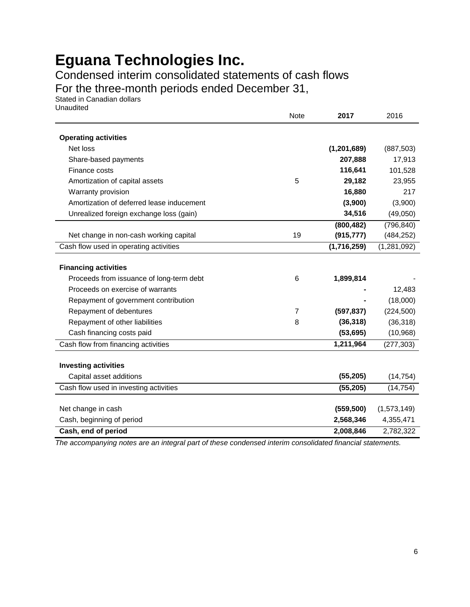Condensed interim consolidated statements of cash flows

For the three-month periods ended December 31,

Stated in Canadian dollars Unaudited

| Unaudited                                 | Note           | 2017          | 2016          |
|-------------------------------------------|----------------|---------------|---------------|
| <b>Operating activities</b>               |                |               |               |
| Net loss                                  |                | (1, 201, 689) | (887, 503)    |
| Share-based payments                      |                | 207,888       | 17,913        |
| Finance costs                             |                | 116,641       | 101,528       |
| Amortization of capital assets            | 5              | 29,182        | 23,955        |
| Warranty provision                        |                | 16,880        | 217           |
| Amortization of deferred lease inducement |                | (3,900)       | (3,900)       |
| Unrealized foreign exchange loss (gain)   |                | 34,516        | (49,050)      |
|                                           |                | (800, 482)    | (796, 840)    |
| Net change in non-cash working capital    | 19             | (915, 777)    | (484, 252)    |
| Cash flow used in operating activities    |                | (1,716,259)   | (1, 281, 092) |
| <b>Financing activities</b>               |                |               |               |
| Proceeds from issuance of long-term debt  | 6              | 1,899,814     |               |
| Proceeds on exercise of warrants          |                |               | 12,483        |
| Repayment of government contribution      |                |               | (18,000)      |
| Repayment of debentures                   | $\overline{7}$ | (597, 837)    | (224, 500)    |
| Repayment of other liabilities            | 8              | (36, 318)     | (36, 318)     |
| Cash financing costs paid                 |                | (53, 695)     | (10, 968)     |
| Cash flow from financing activities       |                | 1,211,964     | (277, 303)    |
|                                           |                |               |               |
| <b>Investing activities</b>               |                |               |               |
| Capital asset additions                   |                | (55, 205)     | (14, 754)     |
| Cash flow used in investing activities    |                | (55, 205)     | (14, 754)     |
|                                           |                |               |               |
| Net change in cash                        |                | (559, 500)    | (1,573,149)   |
| Cash, beginning of period                 |                | 2,568,346     | 4,355,471     |
| Cash, end of period                       |                | 2,008,846     | 2,782,322     |

*The accompanying notes are an integral part of these condensed interim consolidated financial statements.*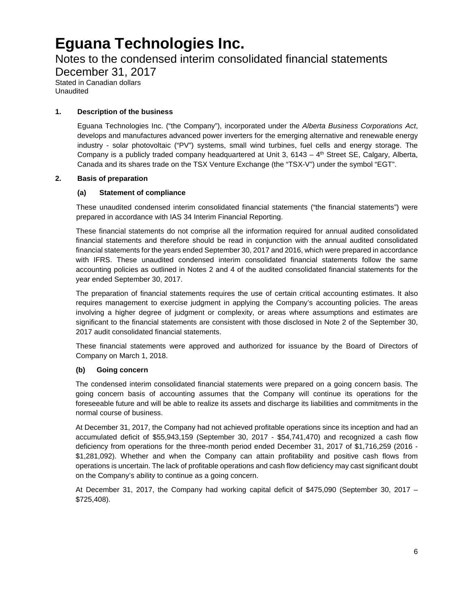### Notes to the condensed interim consolidated financial statements

December 31, 2017 Stated in Canadian dollars

Unaudited

#### **1. Description of the business**

Eguana Technologies Inc. ("the Company"), incorporated under the *Alberta Business Corporations Act*, develops and manufactures advanced power inverters for the emerging alternative and renewable energy industry - solar photovoltaic ("PV") systems, small wind turbines, fuel cells and energy storage. The Company is a publicly traded company headquartered at Unit 3,  $6143 - 4$ <sup>th</sup> Street SE, Calgary, Alberta, Canada and its shares trade on the TSX Venture Exchange (the "TSX-V") under the symbol "EGT".

#### **2. Basis of preparation**

#### **(a) Statement of compliance**

These unaudited condensed interim consolidated financial statements ("the financial statements") were prepared in accordance with IAS 34 Interim Financial Reporting.

These financial statements do not comprise all the information required for annual audited consolidated financial statements and therefore should be read in conjunction with the annual audited consolidated financial statements for the years ended September 30, 2017 and 2016, which were prepared in accordance with IFRS. These unaudited condensed interim consolidated financial statements follow the same accounting policies as outlined in Notes 2 and 4 of the audited consolidated financial statements for the year ended September 30, 2017.

The preparation of financial statements requires the use of certain critical accounting estimates. It also requires management to exercise judgment in applying the Company's accounting policies. The areas involving a higher degree of judgment or complexity, or areas where assumptions and estimates are significant to the financial statements are consistent with those disclosed in Note 2 of the September 30, 2017 audit consolidated financial statements.

These financial statements were approved and authorized for issuance by the Board of Directors of Company on March 1, 2018.

#### **(b) Going concern**

The condensed interim consolidated financial statements were prepared on a going concern basis. The going concern basis of accounting assumes that the Company will continue its operations for the foreseeable future and will be able to realize its assets and discharge its liabilities and commitments in the normal course of business.

At December 31, 2017, the Company had not achieved profitable operations since its inception and had an accumulated deficit of \$55,943,159 (September 30, 2017 - \$54,741,470) and recognized a cash flow deficiency from operations for the three-month period ended December 31, 2017 of \$1,716,259 (2016 - \$1,281,092). Whether and when the Company can attain profitability and positive cash flows from operations is uncertain. The lack of profitable operations and cash flow deficiency may cast significant doubt on the Company's ability to continue as a going concern.

At December 31, 2017, the Company had working capital deficit of \$475,090 (September 30, 2017 – \$725,408).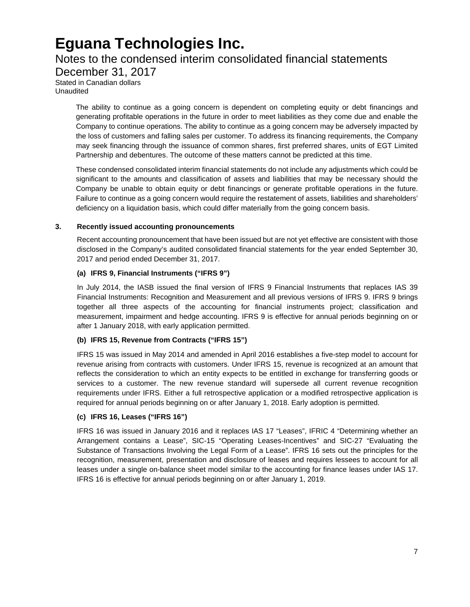### Notes to the condensed interim consolidated financial statements

December 31, 2017 Stated in Canadian dollars

Unaudited

The ability to continue as a going concern is dependent on completing equity or debt financings and generating profitable operations in the future in order to meet liabilities as they come due and enable the Company to continue operations. The ability to continue as a going concern may be adversely impacted by the loss of customers and falling sales per customer. To address its financing requirements, the Company may seek financing through the issuance of common shares, first preferred shares, units of EGT Limited Partnership and debentures. The outcome of these matters cannot be predicted at this time.

These condensed consolidated interim financial statements do not include any adjustments which could be significant to the amounts and classification of assets and liabilities that may be necessary should the Company be unable to obtain equity or debt financings or generate profitable operations in the future. Failure to continue as a going concern would require the restatement of assets, liabilities and shareholders' deficiency on a liquidation basis, which could differ materially from the going concern basis.

#### **3. Recently issued accounting pronouncements**

Recent accounting pronouncement that have been issued but are not yet effective are consistent with those disclosed in the Company's audited consolidated financial statements for the year ended September 30, 2017 and period ended December 31, 2017.

#### **(a) IFRS 9, Financial Instruments ("IFRS 9")**

In July 2014, the IASB issued the final version of IFRS 9 Financial Instruments that replaces IAS 39 Financial Instruments: Recognition and Measurement and all previous versions of IFRS 9. IFRS 9 brings together all three aspects of the accounting for financial instruments project; classification and measurement, impairment and hedge accounting. IFRS 9 is effective for annual periods beginning on or after 1 January 2018, with early application permitted.

#### **(b) IFRS 15, Revenue from Contracts ("IFRS 15")**

IFRS 15 was issued in May 2014 and amended in April 2016 establishes a five-step model to account for revenue arising from contracts with customers. Under IFRS 15, revenue is recognized at an amount that reflects the consideration to which an entity expects to be entitled in exchange for transferring goods or services to a customer. The new revenue standard will supersede all current revenue recognition requirements under IFRS. Either a full retrospective application or a modified retrospective application is required for annual periods beginning on or after January 1, 2018. Early adoption is permitted.

#### **(c) IFRS 16, Leases ("IFRS 16")**

IFRS 16 was issued in January 2016 and it replaces IAS 17 "Leases", IFRIC 4 "Determining whether an Arrangement contains a Lease", SIC-15 "Operating Leases-Incentives" and SIC-27 "Evaluating the Substance of Transactions Involving the Legal Form of a Lease". IFRS 16 sets out the principles for the recognition, measurement, presentation and disclosure of leases and requires lessees to account for all leases under a single on-balance sheet model similar to the accounting for finance leases under IAS 17. IFRS 16 is effective for annual periods beginning on or after January 1, 2019.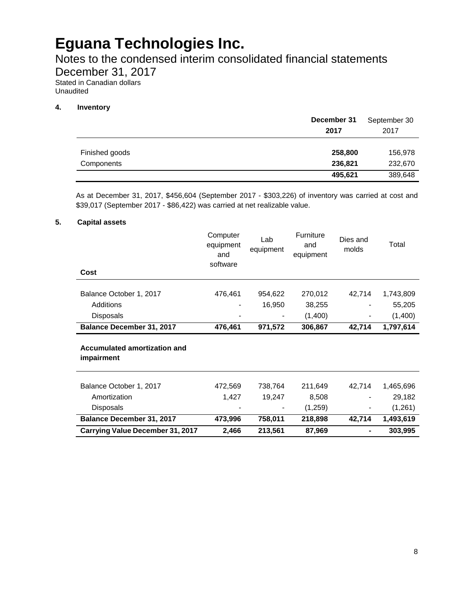Notes to the condensed interim consolidated financial statements

December 31, 2017

Stated in Canadian dollars Unaudited

#### **4. Inventory**

|                              | December 31<br>2017 | September 30<br>2017 |
|------------------------------|---------------------|----------------------|
| Finished goods<br>Components | 258,800<br>236,821  | 156,978<br>232,670   |
|                              | 495,621             | 389,648              |

As at December 31, 2017, \$456,604 (September 2017 - \$303,226) of inventory was carried at cost and \$39,017 (September 2017 - \$86,422) was carried at net realizable value.

#### **5. Capital assets**

| Cost                                              | Computer<br>equipment<br>and<br>software | Lab<br>equipment | <b>Furniture</b><br>and<br>equipment | Dies and<br>molds | Total     |
|---------------------------------------------------|------------------------------------------|------------------|--------------------------------------|-------------------|-----------|
|                                                   |                                          |                  |                                      |                   |           |
| Balance October 1, 2017                           | 476,461                                  | 954,622          | 270,012                              | 42,714            | 1,743,809 |
| Additions                                         |                                          | 16,950           | 38,255                               |                   | 55,205    |
| <b>Disposals</b>                                  |                                          |                  | (1,400)                              |                   | (1,400)   |
| <b>Balance December 31, 2017</b>                  | 476,461                                  | 971,572          | 306,867                              | 42,714            | 1,797,614 |
| <b>Accumulated amortization and</b><br>impairment |                                          |                  |                                      |                   |           |
| Balance October 1, 2017                           | 472,569                                  | 738,764          | 211,649                              | 42,714            | 1,465,696 |
| Amortization                                      | 1,427                                    | 19,247           | 8,508                                |                   | 29,182    |
| <b>Disposals</b>                                  |                                          |                  | (1,259)                              |                   | (1,261)   |
| <b>Balance December 31, 2017</b>                  | 473,996                                  | 758,011          | 218,898                              | 42,714            | 1,493,619 |
| <b>Carrying Value December 31, 2017</b>           | 2,466                                    | 213,561          | 87,969                               | ۰                 | 303,995   |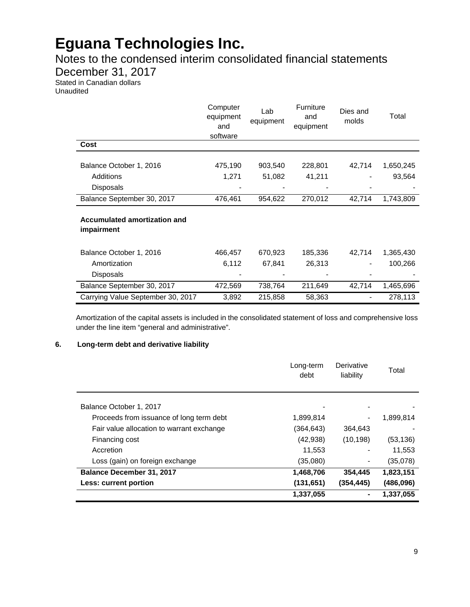### Notes to the condensed interim consolidated financial statements

December 31, 2017

Stated in Canadian dollars Unaudited

|                                                   | Computer<br>equipment<br>and<br>software | Lab<br>equipment | <b>Furniture</b><br>and<br>equipment | Dies and<br>molds | Total     |
|---------------------------------------------------|------------------------------------------|------------------|--------------------------------------|-------------------|-----------|
| Cost                                              |                                          |                  |                                      |                   |           |
| Balance October 1, 2016                           | 475,190                                  | 903,540          | 228,801                              | 42,714            | 1,650,245 |
| Additions                                         | 1,271                                    | 51,082           | 41,211                               |                   | 93,564    |
| <b>Disposals</b>                                  |                                          |                  |                                      |                   |           |
| Balance September 30, 2017                        | 476,461                                  | 954,622          | 270,012                              | 42,714            | 1,743,809 |
| <b>Accumulated amortization and</b><br>impairment |                                          |                  |                                      |                   |           |
| Balance October 1, 2016                           | 466,457                                  | 670,923          | 185,336                              | 42,714            | 1,365,430 |
| Amortization                                      | 6,112                                    | 67,841           | 26,313                               |                   | 100,266   |
| <b>Disposals</b>                                  |                                          |                  |                                      |                   |           |
| Balance September 30, 2017                        | 472,569                                  | 738,764          | 211,649                              | 42,714            | 1,465,696 |
| Carrying Value September 30, 2017                 | 3,892                                    | 215,858          | 58,363                               |                   | 278,113   |

Amortization of the capital assets is included in the consolidated statement of loss and comprehensive loss under the line item "general and administrative".

#### **6. Long-term debt and derivative liability**

|                                           | Long-term<br>debt | Derivative<br>liability | Total     |
|-------------------------------------------|-------------------|-------------------------|-----------|
| Balance October 1, 2017                   |                   |                         |           |
| Proceeds from issuance of long term debt  | 1,899,814         |                         | 1,899,814 |
| Fair value allocation to warrant exchange | (364,643)         | 364,643                 |           |
| Financing cost                            | (42, 938)         | (10, 198)               | (53, 136) |
| Accretion                                 | 11,553            |                         | 11,553    |
| Loss (gain) on foreign exchange           | (35,080)          |                         | (35,078)  |
| <b>Balance December 31, 2017</b>          | 1,468,706         | 354,445                 | 1,823,151 |
| Less: current portion                     | (131, 651)        | (354,445)               | (486,096) |
|                                           | 1,337,055         |                         | 1,337,055 |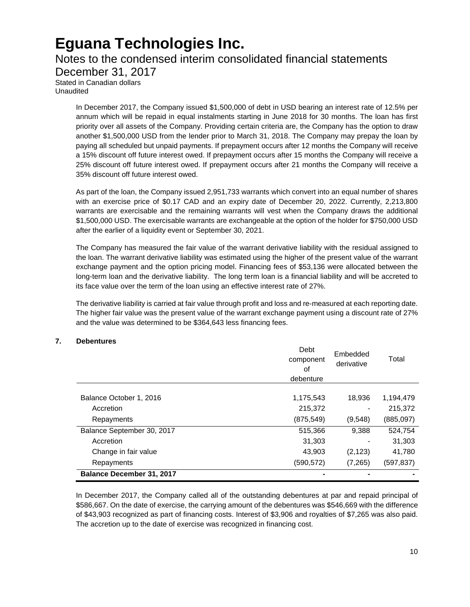### Notes to the condensed interim consolidated financial statements

December 31, 2017

Stated in Canadian dollars Unaudited

> In December 2017, the Company issued \$1,500,000 of debt in USD bearing an interest rate of 12.5% per annum which will be repaid in equal instalments starting in June 2018 for 30 months. The loan has first priority over all assets of the Company. Providing certain criteria are, the Company has the option to draw another \$1,500,000 USD from the lender prior to March 31, 2018. The Company may prepay the loan by paying all scheduled but unpaid payments. If prepayment occurs after 12 months the Company will receive a 15% discount off future interest owed. If prepayment occurs after 15 months the Company will receive a 25% discount off future interest owed. If prepayment occurs after 21 months the Company will receive a 35% discount off future interest owed.

> As part of the loan, the Company issued 2,951,733 warrants which convert into an equal number of shares with an exercise price of \$0.17 CAD and an expiry date of December 20, 2022. Currently, 2,213,800 warrants are exercisable and the remaining warrants will vest when the Company draws the additional \$1,500,000 USD. The exercisable warrants are exchangeable at the option of the holder for \$750,000 USD after the earlier of a liquidity event or September 30, 2021.

> The Company has measured the fair value of the warrant derivative liability with the residual assigned to the loan. The warrant derivative liability was estimated using the higher of the present value of the warrant exchange payment and the option pricing model. Financing fees of \$53,136 were allocated between the long-term loan and the derivative liability. The long term loan is a financial liability and will be accreted to its face value over the term of the loan using an effective interest rate of 27%.

> The derivative liability is carried at fair value through profit and loss and re-measured at each reporting date. The higher fair value was the present value of the warrant exchange payment using a discount rate of 27% and the value was determined to be \$364,643 less financing fees.

#### **7. Debentures**

|                                  | Debt<br>component<br>οf<br>debenture | Embedded<br>derivative | Total     |
|----------------------------------|--------------------------------------|------------------------|-----------|
|                                  |                                      |                        |           |
| Balance October 1, 2016          | 1,175,543                            | 18,936                 | 1,194,479 |
| Accretion                        | 215,372                              |                        | 215,372   |
| Repayments                       | (875, 549)                           | (9,548)                | (885,097) |
| Balance September 30, 2017       | 515,366                              | 9,388                  | 524,754   |
| Accretion                        | 31,303                               |                        | 31,303    |
| Change in fair value             | 43,903                               | (2, 123)               | 41,780    |
| Repayments                       | (590, 572)                           | (7,265)                | (597,837) |
| <b>Balance December 31, 2017</b> |                                      |                        |           |

In December 2017, the Company called all of the outstanding debentures at par and repaid principal of \$586,667. On the date of exercise, the carrying amount of the debentures was \$546,669 with the difference of \$43,903 recognized as part of financing costs. Interest of \$3,906 and royalties of \$7,265 was also paid. The accretion up to the date of exercise was recognized in financing cost.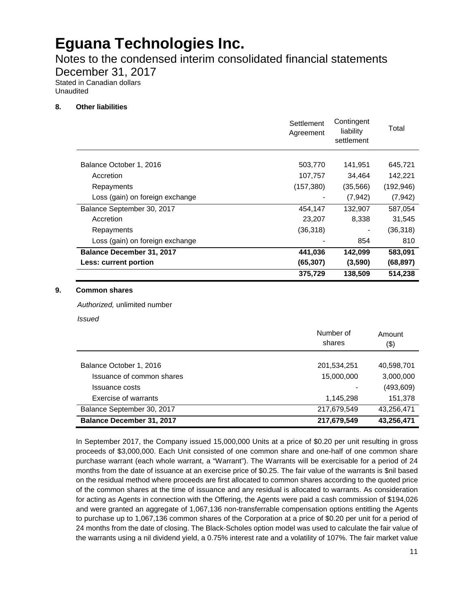Notes to the condensed interim consolidated financial statements

December 31, 2017

Stated in Canadian dollars Unaudited

#### **8. Other liabilities**

|                                  | 375,729                 | 138,509                               | 514,238    |
|----------------------------------|-------------------------|---------------------------------------|------------|
| Less: current portion            | (65, 307)               | (3,590)                               | (68, 897)  |
| <b>Balance December 31, 2017</b> | 441,036                 | 142,099                               | 583,091    |
| Loss (gain) on foreign exchange  |                         | 854                                   | 810        |
| Repayments                       | (36, 318)               |                                       | (36,318)   |
| Accretion                        | 23,207                  | 8,338                                 | 31,545     |
| Balance September 30, 2017       | 454,147                 | 132,907                               | 587,054    |
| Loss (gain) on foreign exchange  |                         | (7, 942)                              | (7, 942)   |
| Repayments                       | (157, 380)              | (35,566)                              | (192, 946) |
| Accretion                        | 107,757                 | 34,464                                | 142,221    |
| Balance October 1, 2016          | 503,770                 | 141,951                               | 645,721    |
|                                  | Settlement<br>Agreement | Contingent<br>liability<br>settlement | Total      |

#### **9. Common shares**

*Authorized,* unlimited number

*Issued*

|                                  | Number of<br>shares | Amount<br>$($ \$) |
|----------------------------------|---------------------|-------------------|
| Balance October 1, 2016          | 201,534,251         | 40,598,701        |
| Issuance of common shares        | 15,000,000          | 3,000,000         |
| Issuance costs                   |                     | (493, 609)        |
| Exercise of warrants             | 1,145,298           | 151,378           |
| Balance September 30, 2017       | 217,679,549         | 43,256,471        |
| <b>Balance December 31, 2017</b> | 217,679,549         | 43,256,471        |

In September 2017, the Company issued 15,000,000 Units at a price of \$0.20 per unit resulting in gross proceeds of \$3,000,000. Each Unit consisted of one common share and one-half of one common share purchase warrant (each whole warrant, a "Warrant"). The Warrants will be exercisable for a period of 24 months from the date of issuance at an exercise price of \$0.25. The fair value of the warrants is \$nil based on the residual method where proceeds are first allocated to common shares according to the quoted price of the common shares at the time of issuance and any residual is allocated to warrants. As consideration for acting as Agents in connection with the Offering, the Agents were paid a cash commission of \$194,026 and were granted an aggregate of 1,067,136 non-transferrable compensation options entitling the Agents to purchase up to 1,067,136 common shares of the Corporation at a price of \$0.20 per unit for a period of 24 months from the date of closing. The Black-Scholes option model was used to calculate the fair value of the warrants using a nil dividend yield, a 0.75% interest rate and a volatility of 107%. The fair market value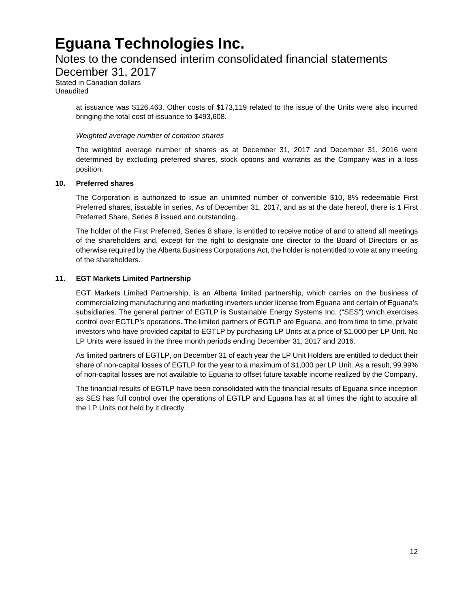### Notes to the condensed interim consolidated financial statements

December 31, 2017

Stated in Canadian dollars Unaudited

> at issuance was \$126,463. Other costs of \$173,119 related to the issue of the Units were also incurred bringing the total cost of issuance to \$493,608.

#### *Weighted average number of common shares*

The weighted average number of shares as at December 31, 2017 and December 31, 2016 were determined by excluding preferred shares, stock options and warrants as the Company was in a loss position.

#### **10. Preferred shares**

The Corporation is authorized to issue an unlimited number of convertible \$10, 8% redeemable First Preferred shares, issuable in series. As of December 31, 2017, and as at the date hereof, there is 1 First Preferred Share, Series 8 issued and outstanding.

The holder of the First Preferred, Series 8 share, is entitled to receive notice of and to attend all meetings of the shareholders and, except for the right to designate one director to the Board of Directors or as otherwise required by the Alberta Business Corporations Act, the holder is not entitled to vote at any meeting of the shareholders.

#### **11. EGT Markets Limited Partnership**

EGT Markets Limited Partnership, is an Alberta limited partnership, which carries on the business of commercializing manufacturing and marketing inverters under license from Eguana and certain of Eguana's subsidiaries. The general partner of EGTLP is Sustainable Energy Systems Inc. ("SES") which exercises control over EGTLP's operations. The limited partners of EGTLP are Eguana, and from time to time, private investors who have provided capital to EGTLP by purchasing LP Units at a price of \$1,000 per LP Unit. No LP Units were issued in the three month periods ending December 31, 2017 and 2016.

As limited partners of EGTLP, on December 31 of each year the LP Unit Holders are entitled to deduct their share of non-capital losses of EGTLP for the year to a maximum of \$1,000 per LP Unit. As a result, 99.99% of non-capital losses are not available to Eguana to offset future taxable income realized by the Company.

The financial results of EGTLP have been consolidated with the financial results of Eguana since inception as SES has full control over the operations of EGTLP and Eguana has at all times the right to acquire all the LP Units not held by it directly.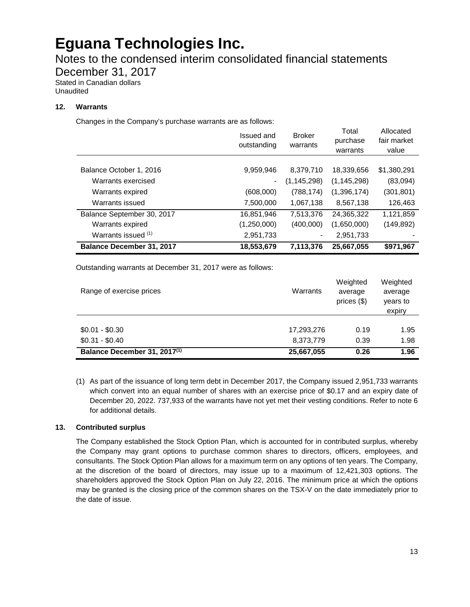Notes to the condensed interim consolidated financial statements

December 31, 2017

Stated in Canadian dollars Unaudited

#### **12. Warrants**

Changes in the Company's purchase warrants are as follows:

|                                  | Issued and<br>outstanding | <b>Broker</b><br>warrants | Total<br>purchase<br>warrants | Allocated<br>fair market<br>value |
|----------------------------------|---------------------------|---------------------------|-------------------------------|-----------------------------------|
| Balance October 1, 2016          | 9,959,946                 | 8,379,710                 | 18,339,656                    | \$1,380,291                       |
| Warrants exercised               | -                         | (1, 145, 298)             | (1, 145, 298)                 | (83,094)                          |
| Warrants expired                 | (608,000)                 | (788, 174)                | (1,396,174)                   | (301, 801)                        |
| Warrants issued                  | 7,500,000                 | 1,067,138                 | 8,567,138                     | 126,463                           |
| Balance September 30, 2017       | 16,851,946                | 7,513,376                 | 24,365,322                    | 1,121,859                         |
| Warrants expired                 | (1,250,000)               | (400,000)                 | (1,650,000)                   | (149, 892)                        |
| Warrants issued (1)              | 2,951,733                 |                           | 2,951,733                     |                                   |
| <b>Balance December 31, 2017</b> | 18,553,679                | 7,113,376                 | 25,667,055                    | \$971,967                         |

Outstanding warrants at December 31, 2017 were as follows:

| Range of exercise prices                 | Warrants   | Weighted<br>average<br>prices (\$) | Weighted<br>average<br>years to<br>expiry |
|------------------------------------------|------------|------------------------------------|-------------------------------------------|
| $$0.01 - $0.30$                          | 17,293,276 | 0.19                               | 1.95                                      |
| $$0.31 - $0.40$                          | 8,373,779  | 0.39                               | 1.98                                      |
| Balance December 31, 2017 <sup>(1)</sup> | 25,667,055 | 0.26                               | 1.96                                      |

(1) As part of the issuance of long term debt in December 2017, the Company issued 2,951,733 warrants which convert into an equal number of shares with an exercise price of \$0.17 and an expiry date of December 20, 2022. 737,933 of the warrants have not yet met their vesting conditions. Refer to note 6 for additional details.

#### **13. Contributed surplus**

The Company established the Stock Option Plan, which is accounted for in contributed surplus, whereby the Company may grant options to purchase common shares to directors, officers, employees, and consultants. The Stock Option Plan allows for a maximum term on any options of ten years. The Company, at the discretion of the board of directors, may issue up to a maximum of 12,421,303 options. The shareholders approved the Stock Option Plan on July 22, 2016. The minimum price at which the options may be granted is the closing price of the common shares on the TSX-V on the date immediately prior to the date of issue.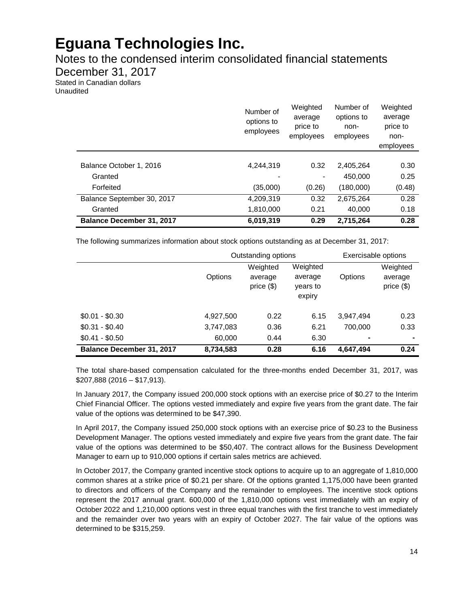Notes to the condensed interim consolidated financial statements

December 31, 2017

Stated in Canadian dollars Unaudited

|                                  | Number of<br>options to<br>employees | Weighted<br>average<br>price to<br>employees | Number of<br>options to<br>non-<br>employees | Weighted<br>average<br>price to<br>non-<br>employees |
|----------------------------------|--------------------------------------|----------------------------------------------|----------------------------------------------|------------------------------------------------------|
|                                  |                                      |                                              |                                              |                                                      |
| Balance October 1, 2016          | 4,244,319                            | 0.32                                         | 2,405,264                                    | 0.30                                                 |
| Granted                          |                                      |                                              | 450,000                                      | 0.25                                                 |
| Forfeited                        | (35,000)                             | (0.26)                                       | (180,000)                                    | (0.48)                                               |
| Balance September 30, 2017       | 4,209,319                            | 0.32                                         | 2,675,264                                    | 0.28                                                 |
| Granted                          | 1,810,000                            | 0.21                                         | 40.000                                       | 0.18                                                 |
| <b>Balance December 31, 2017</b> | 6,019,319                            | 0.29                                         | 2,715,264                                    | 0.28                                                 |

The following summarizes information about stock options outstanding as at December 31, 2017:

|                                  | Outstanding options |                                     |                                           | Exercisable options |                                      |
|----------------------------------|---------------------|-------------------------------------|-------------------------------------------|---------------------|--------------------------------------|
|                                  | Options             | Weighted<br>average<br>price $(\$)$ | Weighted<br>average<br>years to<br>expiry | Options             | Weighted<br>average<br>price $($ \$) |
| $$0.01 - $0.30$                  | 4,927,500           | 0.22                                | 6.15                                      | 3,947,494           | 0.23                                 |
| $$0.31 - $0.40$                  | 3,747,083           | 0.36                                | 6.21                                      | 700.000             | 0.33                                 |
| $$0.41 - $0.50$                  | 60,000              | 0.44                                | 6.30                                      | ۰                   |                                      |
| <b>Balance December 31, 2017</b> | 8,734,583           | 0.28                                | 6.16                                      | 4,647,494           | 0.24                                 |

The total share-based compensation calculated for the three-months ended December 31, 2017, was \$207,888 (2016 – \$17,913).

In January 2017, the Company issued 200,000 stock options with an exercise price of \$0.27 to the Interim Chief Financial Officer. The options vested immediately and expire five years from the grant date. The fair value of the options was determined to be \$47,390.

In April 2017, the Company issued 250,000 stock options with an exercise price of \$0.23 to the Business Development Manager. The options vested immediately and expire five years from the grant date. The fair value of the options was determined to be \$50,407. The contract allows for the Business Development Manager to earn up to 910,000 options if certain sales metrics are achieved.

In October 2017, the Company granted incentive stock options to acquire up to an aggregate of 1,810,000 common shares at a strike price of \$0.21 per share. Of the options granted 1,175,000 have been granted to directors and officers of the Company and the remainder to employees. The incentive stock options represent the 2017 annual grant. 600,000 of the 1,810,000 options vest immediately with an expiry of October 2022 and 1,210,000 options vest in three equal tranches with the first tranche to vest immediately and the remainder over two years with an expiry of October 2027. The fair value of the options was determined to be \$315,259.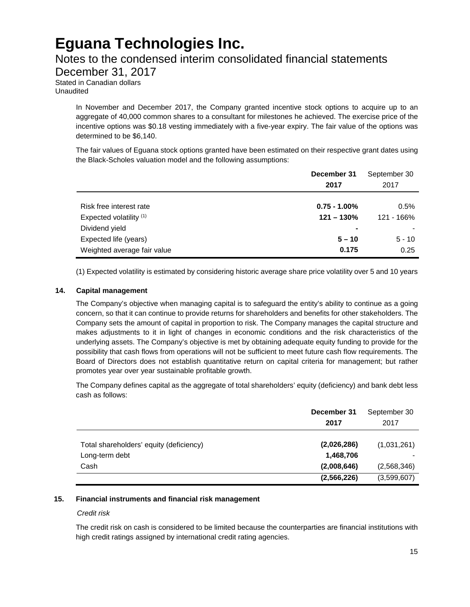### Notes to the condensed interim consolidated financial statements

December 31, 2017

Stated in Canadian dollars Unaudited

> In November and December 2017, the Company granted incentive stock options to acquire up to an aggregate of 40,000 common shares to a consultant for milestones he achieved. The exercise price of the incentive options was \$0.18 vesting immediately with a five-year expiry. The fair value of the options was determined to be \$6,140.

> The fair values of Eguana stock options granted have been estimated on their respective grant dates using the Black-Scholes valuation model and the following assumptions:

|                             | December 31<br>2017 | September 30<br>2017 |
|-----------------------------|---------------------|----------------------|
| Risk free interest rate     | $0.75 - 1.00\%$     | 0.5%                 |
|                             |                     |                      |
| Expected volatility (1)     | $121 - 130%$        | 121 - 166%           |
| Dividend yield              | ۰                   |                      |
| Expected life (years)       | $5 - 10$            | $5 - 10$             |
| Weighted average fair value | 0.175               | 0.25                 |

(1) Expected volatility is estimated by considering historic average share price volatility over 5 and 10 years

#### **14. Capital management**

The Company's objective when managing capital is to safeguard the entity's ability to continue as a going concern, so that it can continue to provide returns for shareholders and benefits for other stakeholders. The Company sets the amount of capital in proportion to risk. The Company manages the capital structure and makes adjustments to it in light of changes in economic conditions and the risk characteristics of the underlying assets. The Company's objective is met by obtaining adequate equity funding to provide for the possibility that cash flows from operations will not be sufficient to meet future cash flow requirements. The Board of Directors does not establish quantitative return on capital criteria for management; but rather promotes year over year sustainable profitable growth.

The Company defines capital as the aggregate of total shareholders' equity (deficiency) and bank debt less cash as follows:

|                                         | December 31<br>2017 | September 30<br>2017 |
|-----------------------------------------|---------------------|----------------------|
| Total shareholders' equity (deficiency) | (2,026,286)         | (1,031,261)          |
| Long-term debt                          | 1,468,706           |                      |
| Cash                                    | (2,008,646)         | (2,568,346)          |
|                                         | (2,566,226)         | (3,599,607)          |

#### **15. Financial instruments and financial risk management**

#### *Credit risk*

The credit risk on cash is considered to be limited because the counterparties are financial institutions with high credit ratings assigned by international credit rating agencies.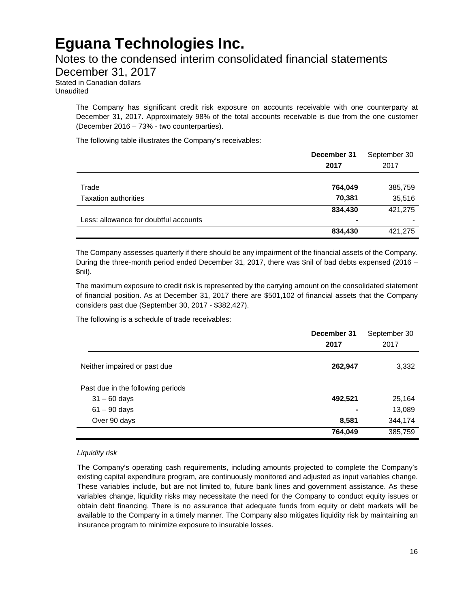### Notes to the condensed interim consolidated financial statements

December 31, 2017

Stated in Canadian dollars Unaudited

> The Company has significant credit risk exposure on accounts receivable with one counterparty at December 31, 2017. Approximately 98% of the total accounts receivable is due from the one customer (December 2016 – 73% - two counterparties).

The following table illustrates the Company's receivables:

|                                       | December 31<br>2017 | September 30<br>2017 |
|---------------------------------------|---------------------|----------------------|
|                                       |                     |                      |
| Trade                                 | 764,049             | 385,759              |
| <b>Taxation authorities</b>           | 70,381              | 35,516               |
|                                       | 834,430             | 421,275              |
| Less: allowance for doubtful accounts | ۰                   |                      |
|                                       | 834,430             | 421,275              |

The Company assesses quarterly if there should be any impairment of the financial assets of the Company. During the three-month period ended December 31, 2017, there was \$nil of bad debts expensed (2016 – \$nil).

The maximum exposure to credit risk is represented by the carrying amount on the consolidated statement of financial position. As at December 31, 2017 there are \$501,102 of financial assets that the Company considers past due (September 30, 2017 - \$382,427).

The following is a schedule of trade receivables:

|                                   | December 31 | September 30 |
|-----------------------------------|-------------|--------------|
|                                   | 2017        | 2017         |
| Neither impaired or past due      | 262,947     | 3,332        |
| Past due in the following periods |             |              |
| $31 - 60$ days                    | 492,521     | 25,164       |
| $61 - 90$ days                    | -           | 13,089       |
| Over 90 days                      | 8,581       | 344,174      |
|                                   | 764,049     | 385,759      |

#### *Liquidity risk*

The Company's operating cash requirements, including amounts projected to complete the Company's existing capital expenditure program, are continuously monitored and adjusted as input variables change. These variables include, but are not limited to, future bank lines and government assistance. As these variables change, liquidity risks may necessitate the need for the Company to conduct equity issues or obtain debt financing. There is no assurance that adequate funds from equity or debt markets will be available to the Company in a timely manner. The Company also mitigates liquidity risk by maintaining an insurance program to minimize exposure to insurable losses.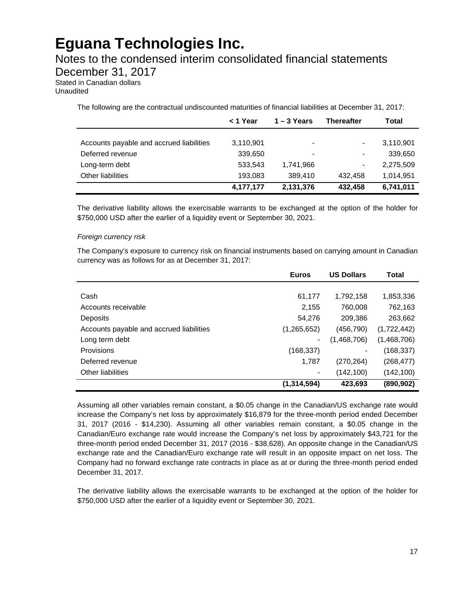### Notes to the condensed interim consolidated financial statements

December 31, 2017

Stated in Canadian dollars Unaudited

The following are the contractual undiscounted maturities of financial liabilities at December 31, 2017:

|                                          | < 1 Year  | $1 - 3$ Years | <b>Thereafter</b> | Total     |
|------------------------------------------|-----------|---------------|-------------------|-----------|
|                                          |           |               |                   |           |
| Accounts payable and accrued liabilities | 3,110,901 | $\,$          | $\blacksquare$    | 3,110,901 |
| Deferred revenue                         | 339,650   |               | $\blacksquare$    | 339,650   |
| Long-term debt                           | 533,543   | 1,741,966     | $\blacksquare$    | 2,275,509 |
| <b>Other liabilities</b>                 | 193,083   | 389.410       | 432.458           | 1.014.951 |
|                                          | 4,177,177 | 2,131,376     | 432,458           | 6,741,011 |

The derivative liability allows the exercisable warrants to be exchanged at the option of the holder for \$750,000 USD after the earlier of a liquidity event or September 30, 2021.

#### *Foreign currency risk*

The Company's exposure to currency risk on financial instruments based on carrying amount in Canadian currency was as follows for as at December 31, 2017:

|                                          | <b>Euros</b>  | <b>US Dollars</b> | Total       |
|------------------------------------------|---------------|-------------------|-------------|
|                                          |               |                   |             |
| Cash                                     | 61,177        | 1,792,158         | 1,853,336   |
| Accounts receivable                      | 2,155         | 760,008           | 762,163     |
| Deposits                                 | 54,276        | 209,386           | 263,662     |
| Accounts payable and accrued liabilities | (1,265,652)   | (456, 790)        | (1,722,442) |
| Long term debt                           |               | (1,468,706)       | (1,468,706) |
| Provisions                               | (168,337)     |                   | (168, 337)  |
| Deferred revenue                         | 1.787         | (270, 264)        | (268, 477)  |
| <b>Other liabilities</b>                 |               | (142, 100)        | (142, 100)  |
|                                          | (1, 314, 594) | 423,693           | (890, 902)  |

Assuming all other variables remain constant, a \$0.05 change in the Canadian/US exchange rate would increase the Company's net loss by approximately \$16,879 for the three-month period ended December 31, 2017 (2016 - \$14,230). Assuming all other variables remain constant, a \$0.05 change in the Canadian/Euro exchange rate would increase the Company's net loss by approximately \$43,721 for the three-month period ended December 31, 2017 (2016 - \$38,628). An opposite change in the Canadian/US exchange rate and the Canadian/Euro exchange rate will result in an opposite impact on net loss. The Company had no forward exchange rate contracts in place as at or during the three-month period ended December 31, 2017.

The derivative liability allows the exercisable warrants to be exchanged at the option of the holder for \$750,000 USD after the earlier of a liquidity event or September 30, 2021.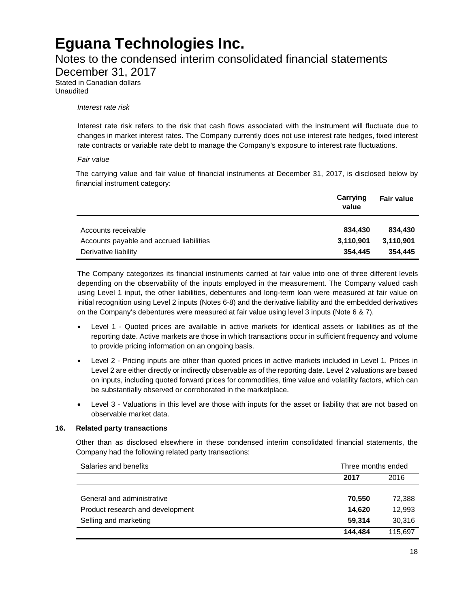### Notes to the condensed interim consolidated financial statements

December 31, 2017

Stated in Canadian dollars Unaudited

#### *Interest rate risk*

Interest rate risk refers to the risk that cash flows associated with the instrument will fluctuate due to changes in market interest rates. The Company currently does not use interest rate hedges, fixed interest rate contracts or variable rate debt to manage the Company's exposure to interest rate fluctuations.

#### *Fair value*

The carrying value and fair value of financial instruments at December 31, 2017, is disclosed below by financial instrument category:

|                                          | Carrying<br>value | <b>Fair value</b> |
|------------------------------------------|-------------------|-------------------|
| Accounts receivable                      | 834.430           | 834.430           |
| Accounts payable and accrued liabilities | 3,110,901         | 3,110,901         |
| Derivative liability                     | 354.445           | 354.445           |

The Company categorizes its financial instruments carried at fair value into one of three different levels depending on the observability of the inputs employed in the measurement. The Company valued cash using Level 1 input, the other liabilities, debentures and long-term loan were measured at fair value on initial recognition using Level 2 inputs (Notes 6-8) and the derivative liability and the embedded derivatives on the Company's debentures were measured at fair value using level 3 inputs (Note 6 & 7).

- Level 1 Quoted prices are available in active markets for identical assets or liabilities as of the reporting date. Active markets are those in which transactions occur in sufficient frequency and volume to provide pricing information on an ongoing basis.
- Level 2 Pricing inputs are other than quoted prices in active markets included in Level 1. Prices in Level 2 are either directly or indirectly observable as of the reporting date. Level 2 valuations are based on inputs, including quoted forward prices for commodities, time value and volatility factors, which can be substantially observed or corroborated in the marketplace.
- Level 3 Valuations in this level are those with inputs for the asset or liability that are not based on observable market data.

#### **16. Related party transactions**

Other than as disclosed elsewhere in these condensed interim consolidated financial statements, the Company had the following related party transactions:

| Salaries and benefits            | Three months ended |         |  |
|----------------------------------|--------------------|---------|--|
|                                  | 2017               | 2016    |  |
|                                  |                    |         |  |
| General and administrative       | 70,550             | 72,388  |  |
| Product research and development | 14.620             | 12,993  |  |
| Selling and marketing            | 59.314             | 30.316  |  |
|                                  | 144.484            | 115.697 |  |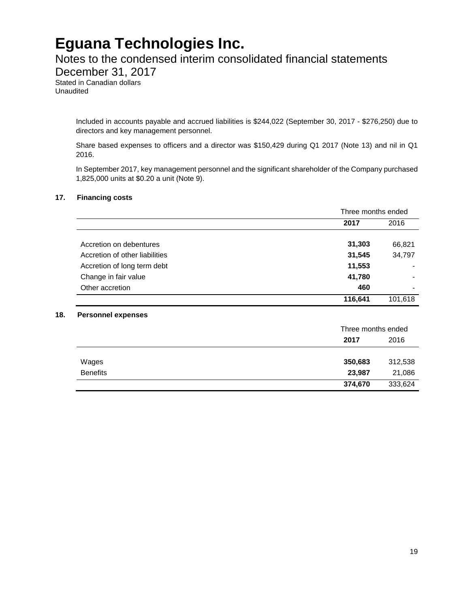### Notes to the condensed interim consolidated financial statements

December 31, 2017

Stated in Canadian dollars Unaudited

> Included in accounts payable and accrued liabilities is \$244,022 (September 30, 2017 - \$276,250) due to directors and key management personnel.

> Share based expenses to officers and a director was \$150,429 during Q1 2017 (Note 13) and nil in Q1 2016.

> In September 2017, key management personnel and the significant shareholder of the Company purchased 1,825,000 units at \$0.20 a unit (Note 9).

#### **17. Financing costs**

|                                | Three months ended |                          |
|--------------------------------|--------------------|--------------------------|
|                                | 2017               | 2016                     |
| Accretion on debentures        | 31,303             | 66,821                   |
| Accretion of other liabilities | 31,545             | 34,797                   |
| Accretion of long term debt    | 11,553             |                          |
| Change in fair value           | 41,780             | $\,$                     |
| Other accretion                | 460                | $\overline{\phantom{a}}$ |
|                                | 116,641            | 101,618                  |

|                 |         | Three months ended |  |
|-----------------|---------|--------------------|--|
|                 | 2017    | 2016               |  |
|                 |         |                    |  |
| Wages           | 350,683 | 312,538            |  |
| <b>Benefits</b> | 23,987  | 21,086             |  |
|                 | 374,670 | 333,624            |  |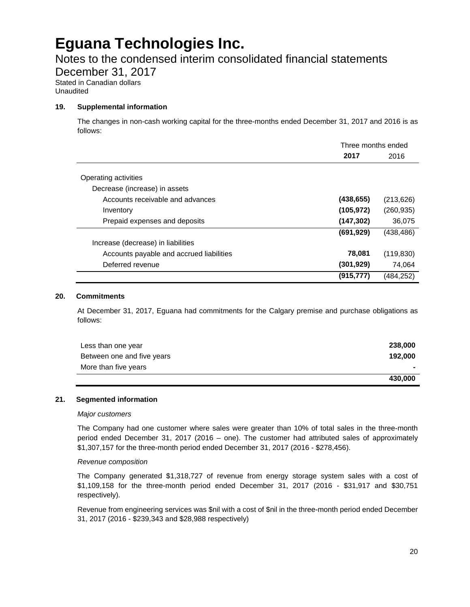### Notes to the condensed interim consolidated financial statements

December 31, 2017

Stated in Canadian dollars Unaudited

#### **19. Supplemental information**

The changes in non-cash working capital for the three-months ended December 31, 2017 and 2016 is as follows:

|                                          | Three months ended |            |
|------------------------------------------|--------------------|------------|
|                                          | 2017               | 2016       |
| Operating activities                     |                    |            |
|                                          |                    |            |
| Decrease (increase) in assets            |                    |            |
| Accounts receivable and advances         | (438, 655)         | (213, 626) |
| Inventory                                | (105, 972)         | (260, 935) |
| Prepaid expenses and deposits            | (147,302)          | 36,075     |
|                                          | (691, 929)         | (438, 486) |
| Increase (decrease) in liabilities       |                    |            |
| Accounts payable and accrued liabilities | 78,081             | (119, 830) |
| Deferred revenue                         | (301, 929)         | 74,064     |
|                                          | (915, 777)         | (484, 252) |

#### **20. Commitments**

At December 31, 2017, Eguana had commitments for the Calgary premise and purchase obligations as follows:

| Less than one year         | 238,000 |
|----------------------------|---------|
| Between one and five years | 192.000 |
| More than five years       |         |
|                            | 430.000 |

#### **21. Segmented information**

#### *Major customers*

The Company had one customer where sales were greater than 10% of total sales in the three-month period ended December 31, 2017 (2016 – one). The customer had attributed sales of approximately \$1,307,157 for the three-month period ended December 31, 2017 (2016 - \$278,456).

#### *Revenue composition*

The Company generated \$1,318,727 of revenue from energy storage system sales with a cost of \$1,109,158 for the three-month period ended December 31, 2017 (2016 - \$31,917 and \$30,751 respectively).

Revenue from engineering services was \$nil with a cost of \$nil in the three-month period ended December 31, 2017 (2016 - \$239,343 and \$28,988 respectively)